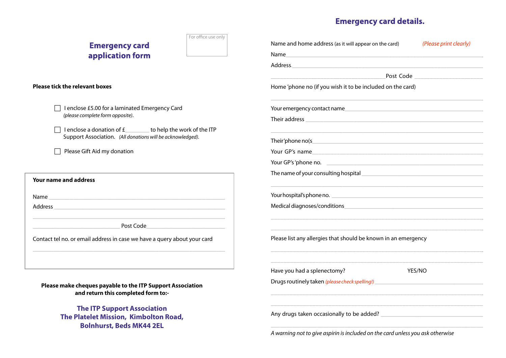## **Emergency card details.**

| For office use only<br><b>Emergency card</b>                                                                                                                                                                                   | Name and home address (as it will appear on the card)<br>(Please print clearly)                                                                                                                                                |
|--------------------------------------------------------------------------------------------------------------------------------------------------------------------------------------------------------------------------------|--------------------------------------------------------------------------------------------------------------------------------------------------------------------------------------------------------------------------------|
| application form                                                                                                                                                                                                               | Name<br><u> 1989 - Johann Stoff, deutscher Stoff, der Stoff, der Stoff, der Stoff, der Stoff, der Stoff, der Stoff, der S</u>                                                                                                  |
|                                                                                                                                                                                                                                |                                                                                                                                                                                                                                |
|                                                                                                                                                                                                                                | Post Code <b>Communist Communist Code</b>                                                                                                                                                                                      |
| <b>Please tick the relevant boxes</b>                                                                                                                                                                                          | Home 'phone no (if you wish it to be included on the card)                                                                                                                                                                     |
| I enclose £5.00 for a laminated Emergency Card                                                                                                                                                                                 | Your emergency contact name that the control of the control of the control of the control of the control of the control of the control of the control of the control of the control of the control of the control of the contr |
| (please complete form opposite).                                                                                                                                                                                               |                                                                                                                                                                                                                                |
| I enclose a donation of $f$ to help the work of the ITP<br>Support Association. (All donations will be acknowledged).                                                                                                          |                                                                                                                                                                                                                                |
| Please Gift Aid my donation                                                                                                                                                                                                    |                                                                                                                                                                                                                                |
|                                                                                                                                                                                                                                | Your GP's 'phone no.                                                                                                                                                                                                           |
|                                                                                                                                                                                                                                |                                                                                                                                                                                                                                |
| <b>Your name and address</b>                                                                                                                                                                                                   |                                                                                                                                                                                                                                |
| Name and the contract of the contract of the contract of the contract of the contract of the contract of the contract of the contract of the contract of the contract of the contract of the contract of the contract of the c |                                                                                                                                                                                                                                |
|                                                                                                                                                                                                                                |                                                                                                                                                                                                                                |
| Post Code and the contract of the contract of the contract of the contract of the contract of the contract of the contract of the contract of the contract of the contract of the contract of the contract of the contract of  |                                                                                                                                                                                                                                |
| Contact tel no. or email address in case we have a query about your card                                                                                                                                                       | Please list any allergies that should be known in an emergency                                                                                                                                                                 |
|                                                                                                                                                                                                                                | Have you had a splenectomy?<br><b>YES/NO</b>                                                                                                                                                                                   |
| Please make cheques payable to the ITP Support Association<br>and return this completed form to:-                                                                                                                              | Drugs routinely taken (please check spelling!)                                                                                                                                                                                 |
| <b>The ITP Support Association</b><br><b>The Platelet Mission, Kimbolton Road,</b><br><b>Bolnhurst, Beds MK44 2EL</b>                                                                                                          | Any drugs taken occasionally to be added? Letter and the state of the state of the state of the state of the state of the state of the state of the state of the state of the state of the state of the state of the state of  |
|                                                                                                                                                                                                                                | in the contract of the contract of the contract of the contract of the contract of the contract of the contract of the contract of the contract of the contract of the contract of the contract of the contract of the contrac |

*A warning not to give aspirin is included on the card unless you ask otherwise*